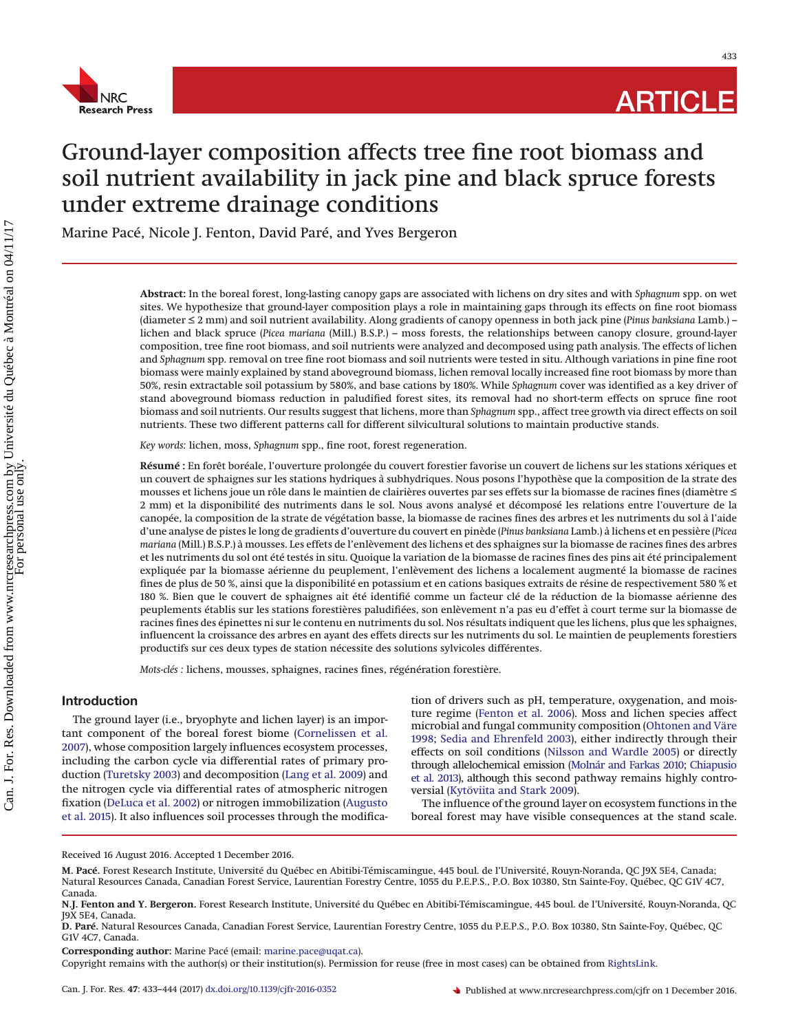

433

# Ground-layer composition affects tree fine root biomass and soil nutrient availability in jack pine and black spruce forests under extreme drainage conditions

Marine Pacé, Nicole J. Fenton, David Paré, and Yves Bergeron

**Abstract:** In the boreal forest, long-lasting canopy gaps are associated with lichens on dry sites and with *Sphagnum* spp. on wet sites. We hypothesize that ground-layer composition plays a role in maintaining gaps through its effects on fine root biomass (diameter ≤ 2 mm) and soil nutrient availability. Along gradients of canopy openness in both jack pine (*Pinus banksiana* Lamb.) – lichen and black spruce (*Picea mariana* (Mill.) B.S.P.) – moss forests, the relationships between canopy closure, ground-layer composition, tree fine root biomass, and soil nutrients were analyzed and decomposed using path analysis. The effects of lichen and *Sphagnum* spp. removal on tree fine root biomass and soil nutrients were tested in situ. Although variations in pine fine root biomass were mainly explained by stand aboveground biomass, lichen removal locally increased fine root biomass by more than 50%, resin extractable soil potassium by 580%, and base cations by 180%. While *Sphagnum* cover was identified as a key driver of stand aboveground biomass reduction in paludified forest sites, its removal had no short-term effects on spruce fine root biomass and soil nutrients. Our results suggest that lichens, more than *Sphagnum* spp., affect tree growth via direct effects on soil nutrients. These two different patterns call for different silvicultural solutions to maintain productive stands.

*Key words:* lichen, moss, *Sphagnum* spp., fine root, forest regeneration.

**Résumé :** En forêt boréale, l'ouverture prolongée du couvert forestier favorise un couvert de lichens sur les stations xériques et un couvert de sphaignes sur les stations hydriques a` subhydriques. Nous posons l'hypothèse que la composition de la strate des mousses et lichens joue un rôle dans le maintien de clairières ouvertes par ses effets sur la biomasse de racines fines (diamètre ≤ 2 mm) et la disponibilité des nutriments dans le sol. Nous avons analysé et décomposé les relations entre l'ouverture de la canopée, la composition de la strate de végétation basse, la biomasse de racines fines des arbres et les nutriments du sol a` l'aide d'une analyse de pistes le long de gradients d'ouverture du couvert en pinède (*Pinus banksiana* Lamb.) a` lichens et en pessière (*Picea mariana* (Mill.) B.S.P.) a` mousses. Les effets de l'enlèvement des lichens et des sphaignes sur la biomasse de racines fines des arbres et les nutriments du sol ont été testés in situ. Quoique la variation de la biomasse de racines fines des pins ait été principalement expliquée par la biomasse aérienne du peuplement, l'enlèvement des lichens a localement augmenté la biomasse de racines fines de plus de 50 %, ainsi que la disponibilité en potassium et en cations basiques extraits de résine de respectivement 580 % et 180 %. Bien que le couvert de sphaignes ait été identifié comme un facteur clé de la réduction de la biomasse aérienne des peuplements établis sur les stations forestières paludifiées, son enlèvement n'a pas eu d'effet a` court terme sur la biomasse de racines fines des épinettes ni sur le contenu en nutriments du sol. Nos résultats indiquent que les lichens, plus que les sphaignes, influencent la croissance des arbres en ayant des effets directs sur les nutriments du sol. Le maintien de peuplements forestiers productifs sur ces deux types de station nécessite des solutions sylvicoles différentes.

*Mots-clés :* lichens, mousses, sphaignes, racines fines, régénération forestière.

## **Introduction**

The ground layer (i.e., bryophyte and lichen layer) is an important component of the boreal forest biome [\(Cornelissen et al.](#page-10-0) [2007\)](#page-10-0), whose composition largely influences ecosystem processes, including the carbon cycle via differential rates of primary production [\(Turetsky 2003\)](#page-11-0) and decomposition [\(Lang et al. 2009\)](#page-10-1) and the nitrogen cycle via differential rates of atmospheric nitrogen fixation [\(DeLuca et al. 2002\)](#page-10-2) or nitrogen immobilization [\(Augusto](#page-10-3) [et al. 2015\)](#page-10-3). It also influences soil processes through the modifica-

tion of drivers such as pH, temperature, oxygenation, and moisture regime [\(Fenton et al. 2006\)](#page-10-4). Moss and lichen species affect microbial and fungal community composition [\(Ohtonen and Väre](#page-11-1) [1998;](#page-11-1) [Sedia and Ehrenfeld 2003\)](#page-11-2), either indirectly through their effects on soil conditions [\(Nilsson and Wardle 2005\)](#page-11-3) or directly through allelochemical emission [\(Molnár and Farkas 2010;](#page-11-4) [Chiapusio](#page-10-5) [et al. 2013\)](#page-10-5), although this second pathway remains highly controversial [\(Kytöviita and Stark 2009\)](#page-10-6).

The influence of the ground layer on ecosystem functions in the boreal forest may have visible consequences at the stand scale.

Received 16 August 2016. Accepted 1 December 2016.

**M. Pacé.** Forest Research Institute, Université du Québec en Abitibi-Témiscamingue, 445 boul. de l'Université, Rouyn-Noranda, QC J9X 5E4, Canada; Natural Resources Canada, Canadian Forest Service, Laurentian Forestry Centre, 1055 du P.E.P.S., P.O. Box 10380, Stn Sainte-Foy, Québec, QC G1V 4C7, Canada.

**N.J. Fenton and Y. Bergeron.** Forest Research Institute, Université du Québec en Abitibi-Témiscamingue, 445 boul. de l'Université, Rouyn-Noranda, QC J9X 5E4, Canada.

**D. Paré.** Natural Resources Canada, Canadian Forest Service, Laurentian Forestry Centre, 1055 du P.E.P.S., P.O. Box 10380, Stn Sainte-Foy, Québec, QC G1V 4C7, Canada.

**Corresponding author:** Marine Pacé (email: [marine.pace@uqat.ca\)](mailto:marine.pace@uqat.ca).

Copyright remains with the author(s) or their institution(s). Permission for reuse (free in most cases) can be obtained from [RightsLink.](http://www.nrcresearchpress.com/page/authors/services/reprints)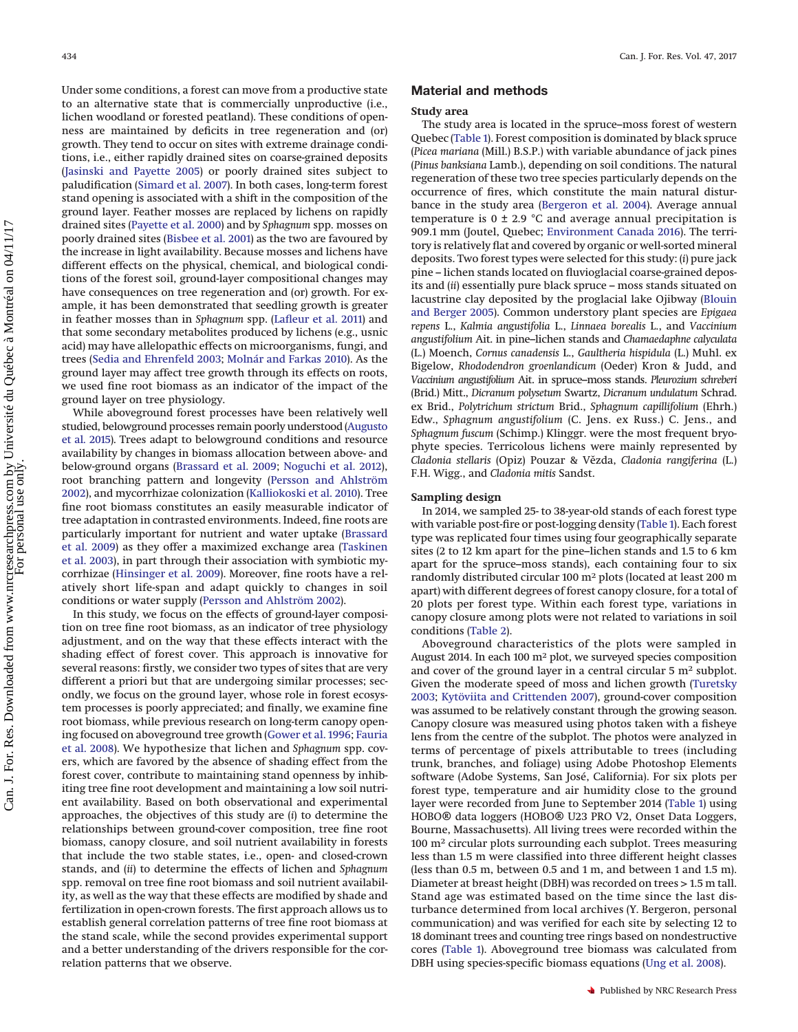Under some conditions, a forest can move from a productive state to an alternative state that is commercially unproductive (i.e., lichen woodland or forested peatland). These conditions of openness are maintained by deficits in tree regeneration and (or) growth. They tend to occur on sites with extreme drainage conditions, i.e., either rapidly drained sites on coarse-grained deposits [\(Jasinski and Payette 2005\)](#page-10-7) or poorly drained sites subject to paludification [\(Simard et al. 2007\)](#page-11-5). In both cases, long-term forest stand opening is associated with a shift in the composition of the ground layer. Feather mosses are replaced by lichens on rapidly drained sites [\(Payette et al. 2000\)](#page-11-6) and by *Sphagnum* spp. mosses on poorly drained sites [\(Bisbee et al. 2001\)](#page-10-8) as the two are favoured by the increase in light availability. Because mosses and lichens have different effects on the physical, chemical, and biological conditions of the forest soil, ground-layer compositional changes may have consequences on tree regeneration and (or) growth. For example, it has been demonstrated that seedling growth is greater in feather mosses than in *Sphagnum* spp. [\(Lafleur et al. 2011\)](#page-10-9) and that some secondary metabolites produced by lichens (e.g., usnic acid) may have allelopathic effects on microorganisms, fungi, and trees [\(Sedia and Ehrenfeld 2003;](#page-11-2) [Molnár and Farkas 2010\)](#page-11-4). As the ground layer may affect tree growth through its effects on roots, we used fine root biomass as an indicator of the impact of the ground layer on tree physiology.

While aboveground forest processes have been relatively well studied, belowground processes remain poorly understood [\(Augusto](#page-10-3) [et al. 2015\)](#page-10-3). Trees adapt to belowground conditions and resource availability by changes in biomass allocation between above- and below-ground organs [\(Brassard et al. 2009;](#page-10-10) [Noguchi et al. 2012\)](#page-11-7), root branching pattern and longevity [\(Persson and Ahlström](#page-11-8) [2002\)](#page-11-8), and mycorrhizae colonization [\(Kalliokoski et al. 2010\)](#page-10-11). Tree fine root biomass constitutes an easily measurable indicator of tree adaptation in contrasted environments. Indeed, fine roots are particularly important for nutrient and water uptake [\(Brassard](#page-10-10) [et al. 2009\)](#page-10-10) as they offer a maximized exchange area [\(Taskinen](#page-11-9) [et al. 2003\)](#page-11-9), in part through their association with symbiotic mycorrhizae [\(Hinsinger et al. 2009\)](#page-10-12). Moreover, fine roots have a relatively short life-span and adapt quickly to changes in soil conditions or water supply [\(Persson and Ahlström 2002\)](#page-11-8).

In this study, we focus on the effects of ground-layer composition on tree fine root biomass, as an indicator of tree physiology adjustment, and on the way that these effects interact with the shading effect of forest cover. This approach is innovative for several reasons: firstly, we consider two types of sites that are very different a priori but that are undergoing similar processes; secondly, we focus on the ground layer, whose role in forest ecosystem processes is poorly appreciated; and finally, we examine fine root biomass, while previous research on long-term canopy opening focused on aboveground tree growth [\(Gower et al. 1996;](#page-10-13) [Fauria](#page-10-14) [et al. 2008\)](#page-10-14). We hypothesize that lichen and *Sphagnum* spp. covers, which are favored by the absence of shading effect from the forest cover, contribute to maintaining stand openness by inhibiting tree fine root development and maintaining a low soil nutrient availability. Based on both observational and experimental approaches, the objectives of this study are (*i*) to determine the relationships between ground-cover composition, tree fine root biomass, canopy closure, and soil nutrient availability in forests that include the two stable states, i.e., open- and closed-crown stands, and (*ii*) to determine the effects of lichen and *Sphagnum* spp. removal on tree fine root biomass and soil nutrient availability, as well as the way that these effects are modified by shade and fertilization in open-crown forests. The first approach allows us to establish general correlation patterns of tree fine root biomass at the stand scale, while the second provides experimental support and a better understanding of the drivers responsible for the correlation patterns that we observe.

## **Material and methods**

### **Study area**

The study area is located in the spruce–moss forest of western Quebec [\(Table 1\)](#page-2-0). Forest composition is dominated by black spruce (*Picea mariana* (Mill.) B.S.P.) with variable abundance of jack pines (*Pinus banksiana* Lamb.), depending on soil conditions. The natural regeneration of these two tree species particularly depends on the occurrence of fires, which constitute the main natural disturbance in the study area [\(Bergeron et al. 2004\)](#page-10-15). Average annual temperature is  $0 \pm 2.9$  °C and average annual precipitation is 909.1 mm (Joutel, Quebec; [Environment Canada 2016\)](#page-10-16). The territory is relatively flat and covered by organic or well-sorted mineral deposits. Two forest types were selected for this study: (*i*) pure jack pine – lichen stands located on fluvioglacial coarse-grained deposits and (*ii*) essentially pure black spruce – moss stands situated on lacustrine clay deposited by the proglacial lake Ojibway [\(Blouin](#page-10-17) [and Berger 2005\)](#page-10-17). Common understory plant species are *Epigaea repens* L., *Kalmia angustifolia* L., *Linnaea borealis* L., and *Vaccinium angustifolium* Ait. in pine–lichen stands and *Chamaedaphne calyculata* (L.) Moench, *Cornus canadensis* L., *Gaultheria hispidula* (L.) Muhl. ex Bigelow, *Rhododendron groenlandicum* (Oeder) Kron & Judd, and *Vaccinium angustifolium* Ait. in spruce–moss stands. *Pleurozium schreberi* (Brid.) Mitt., *Dicranum polysetum* Swartz, *Dicranum undulatum* Schrad. ex Brid., *Polytrichum strictum* Brid., *Sphagnum capillifolium* (Ehrh.) Edw., *Sphagnum angustifolium* (C. Jens. ex Russ.) C. Jens., and *Sphagnum fuscum* (Schimp.) Klinggr. were the most frequent bryophyte species. Terricolous lichens were mainly represented by *Cladonia stellaris* (Opiz) Pouzar & Veˇzda, *Cladonia rangiferina* (L.) F.H. Wigg., and *Cladonia mitis* Sandst.

### **Sampling design**

In 2014, we sampled 25- to 38-year-old stands of each forest type with variable post-fire or post-logging density [\(Table 1\)](#page-2-0). Each forest type was replicated four times using four geographically separate sites (2 to 12 km apart for the pine–lichen stands and 1.5 to 6 km apart for the spruce–moss stands), each containing four to six randomly distributed circular 100 m<sup>2</sup> plots (located at least 200 m apart) with different degrees of forest canopy closure, for a total of 20 plots per forest type. Within each forest type, variations in canopy closure among plots were not related to variations in soil conditions [\(Table 2\)](#page-3-0).

Aboveground characteristics of the plots were sampled in August 2014. In each 100 m2 plot, we surveyed species composition and cover of the ground layer in a central circular  $5 \text{ m}^2$  subplot. Given the moderate speed of moss and lichen growth [\(Turetsky](#page-11-0) [2003;](#page-11-0) [Kytöviita and Crittenden 2007\)](#page-10-18), ground-cover composition was assumed to be relatively constant through the growing season. Canopy closure was measured using photos taken with a fisheye lens from the centre of the subplot. The photos were analyzed in terms of percentage of pixels attributable to trees (including trunk, branches, and foliage) using Adobe Photoshop Elements software (Adobe Systems, San José, California). For six plots per forest type, temperature and air humidity close to the ground layer were recorded from June to September 2014 [\(Table 1\)](#page-2-0) using HOBO® data loggers (HOBO® U23 PRO V2, Onset Data Loggers, Bourne, Massachusetts). All living trees were recorded within the 100 m<sup>2</sup> circular plots surrounding each subplot. Trees measuring less than 1.5 m were classified into three different height classes (less than 0.5 m, between 0.5 and 1 m, and between 1 and 1.5 m). Diameter at breast height (DBH) was recorded on trees > 1.5 m tall. Stand age was estimated based on the time since the last disturbance determined from local archives (Y. Bergeron, personal communication) and was verified for each site by selecting 12 to 18 dominant trees and counting tree rings based on nondestructive cores [\(Table 1\)](#page-2-0). Aboveground tree biomass was calculated from DBH using species-specific biomass equations [\(Ung et al. 2008\)](#page-11-10).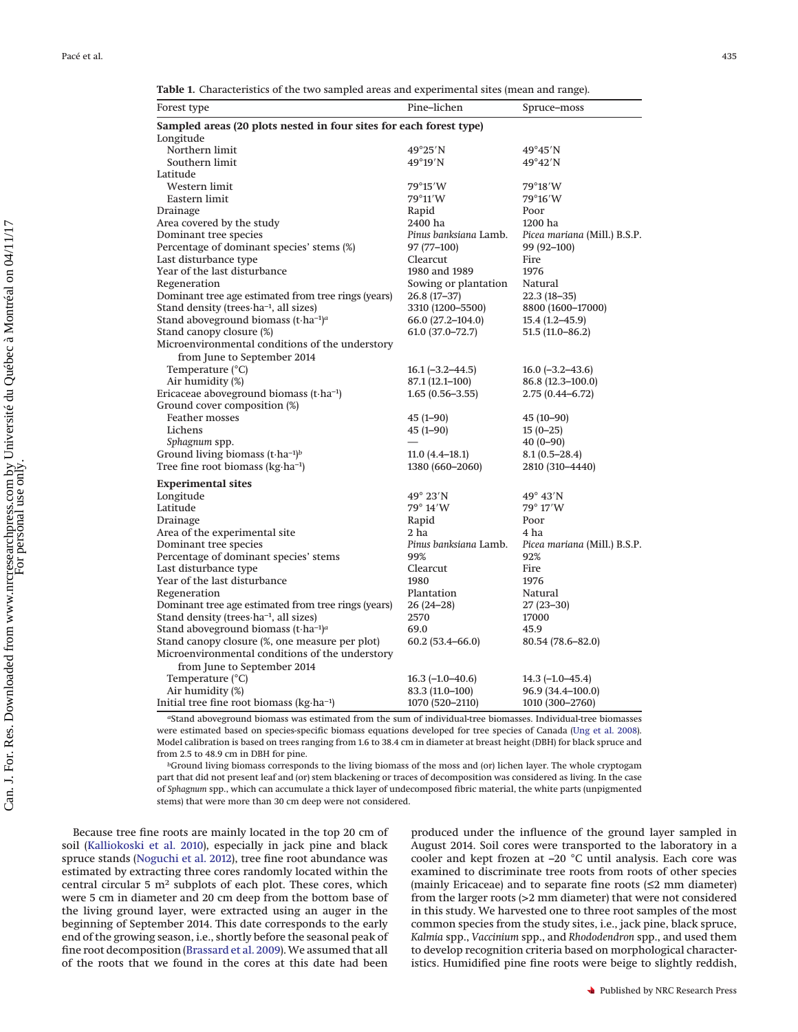| Table 1. Characteristics of the two sampled areas and experimental sites (mean and range). |  |  |
|--------------------------------------------------------------------------------------------|--|--|
|--------------------------------------------------------------------------------------------|--|--|

<span id="page-2-0"></span>

| Forest type                                                        | Pine-lichen           | Spruce–moss                  |
|--------------------------------------------------------------------|-----------------------|------------------------------|
| Sampled areas (20 plots nested in four sites for each forest type) |                       |                              |
| Longitude                                                          |                       |                              |
| Northern limit                                                     | $49^{\circ}25'$ N     | $49^{\circ}45'$ N            |
| Southern limit                                                     | $49^{\circ}19'$ N     | $49^{\circ}42'$ N            |
| Latitude                                                           |                       |                              |
| Western limit                                                      | 79°15'W               | 79°18′W                      |
| Eastern limit                                                      | 79°11′W               | 79°16′W                      |
| Drainage                                                           | Rapid                 | Poor                         |
| Area covered by the study                                          | 2400 ha               | 1200 ha                      |
| Dominant tree species                                              | Pinus banksiana Lamb. | Picea mariana (Mill.) B.S.P. |
| Percentage of dominant species' stems (%)                          | 97 (77-100)           | 99 (92-100)                  |
| Last disturbance type                                              | Clearcut              | Fire                         |
| Year of the last disturbance                                       | 1980 and 1989         | 1976                         |
| Regeneration                                                       | Sowing or plantation  | Natural                      |
| Dominant tree age estimated from tree rings (years)                | $26.8(17-37)$         | $22.3(18-35)$                |
| Stand density (trees-ha-1, all sizes)                              | 3310 (1200-5500)      | 8800 (1600-17000)            |
| Stand above<br>ground biomass (t-ha <sup>-1)a</sup>                | 66.0 (27.2-104.0)     | $15.4(1.2 - 45.9)$           |
| Stand canopy closure (%)                                           | $61.0 (37.0 - 72.7)$  | $51.5(11.0 - 86.2)$          |
| Microenvironmental conditions of the understory                    |                       |                              |
| from June to September 2014                                        |                       |                              |
| Temperature (°C)                                                   | $16.1(-3.2-44.5)$     | $16.0$ (-3.2-43.6)           |
| Air humidity (%)                                                   | 87.1 (12.1-100)       | 86.8 (12.3-100.0)            |
| Ericaceae aboveground biomass (t-ha-1)                             | $1.65(0.56 - 3.55)$   | $2.75(0.44 - 6.72)$          |
| Ground cover composition (%)                                       |                       |                              |
| Feather mosses                                                     | $45(1-90)$            | $45(10-90)$                  |
| Lichens                                                            | $45(1-90)$            | $15(0-25)$                   |
| Sphagnum spp.                                                      |                       | $40(0-90)$                   |
| Ground living biomass $(t \cdot ha^{-1})^b$                        | $11.0(4.4-18.1)$      | $8.1(0.5-28.4)$              |
| Tree fine root biomass (kg·ha <sup>-1</sup> )                      | 1380 (660–2060)       | 2810 (310-4440)              |
| <b>Experimental sites</b>                                          |                       |                              |
| Longitude                                                          | $49^\circ 23'$ N      | $49^{\circ}$ 43'N            |
| Latitude                                                           | $79^\circ 14'W$       | 79° 17′W                     |
| Drainage                                                           | Rapid                 | Poor                         |
| Area of the experimental site                                      | 2 <sub>ha</sub>       | 4 ha                         |
| Dominant tree species                                              | Pinus banksiana Lamb. | Picea mariana (Mill.) B.S.P. |
| Percentage of dominant species' stems                              | 99%                   | 92%                          |
| Last disturbance type                                              | Clearcut              | Fire                         |
| Year of the last disturbance                                       | 1980                  | 1976                         |
| Regeneration                                                       | Plantation            | Natural                      |
| Dominant tree age estimated from tree rings (years)                | $26(24-28)$           | $27(23 - 30)$                |
| Stand density (trees ha <sup>-1</sup> , all sizes)                 | 2570                  | 17000                        |
| Stand aboveground biomass $(t \cdot ha^{-1})^a$                    | 69.0                  | 45.9                         |
| Stand canopy closure (%, one measure per plot)                     | $60.2(53.4 - 66.0)$   | $80.54(78.6 - 82.0)$         |
| Microenvironmental conditions of the understory                    |                       |                              |
| from June to September 2014                                        |                       |                              |
| Temperature (°C)                                                   | $16.3(-1.0-40.6)$     | $14.3(-1.0-45.4)$            |
| Air humidity (%)                                                   | 83.3 (11.0-100)       | 96.9 (34.4-100.0)            |
| Initial tree fine root biomass (kg·ha-1)                           | 1070 (520–2110)       | 1010 (300-2760)              |
|                                                                    |                       |                              |

*a*Stand aboveground biomass was estimated from the sum of individual-tree biomasses. Individual-tree biomasses were estimated based on species-specific biomass equations developed for tree species of Canada [\(Ung et al. 2008\)](#page-11-10). Model calibration is based on trees ranging from 1.6 to 38.4 cm in diameter at breast height (DBH) for black spruce and from 2.5 to 48.9 cm in DBH for pine.

*b*Ground living biomass corresponds to the living biomass of the moss and (or) lichen layer. The whole cryptogam part that did not present leaf and (or) stem blackening or traces of decomposition was considered as living. In the case of *Sphagnum* spp., which can accumulate a thick layer of undecomposed fibric material, the white parts (unpigmented stems) that were more than 30 cm deep were not considered.

Because tree fine roots are mainly located in the top 20 cm of soil [\(Kalliokoski et al. 2010\)](#page-10-11), especially in jack pine and black spruce stands [\(Noguchi et al. 2012\)](#page-11-7), tree fine root abundance was estimated by extracting three cores randomly located within the central circular 5 m2 subplots of each plot. These cores, which were 5 cm in diameter and 20 cm deep from the bottom base of the living ground layer, were extracted using an auger in the beginning of September 2014. This date corresponds to the early end of the growing season, i.e., shortly before the seasonal peak of fine root decomposition [\(Brassard et al. 2009\)](#page-10-10). We assumed that all of the roots that we found in the cores at this date had been

produced under the influence of the ground layer sampled in August 2014. Soil cores were transported to the laboratory in a cooler and kept frozen at –20 °C until analysis. Each core was examined to discriminate tree roots from roots of other species (mainly Ericaceae) and to separate fine roots (≤2 mm diameter) from the larger roots (>2 mm diameter) that were not considered in this study. We harvested one to three root samples of the most common species from the study sites, i.e., jack pine, black spruce, *Kalmia* spp., *Vaccinium* spp., and *Rhododendron* spp., and used them to develop recognition criteria based on morphological characteristics. Humidified pine fine roots were beige to slightly reddish,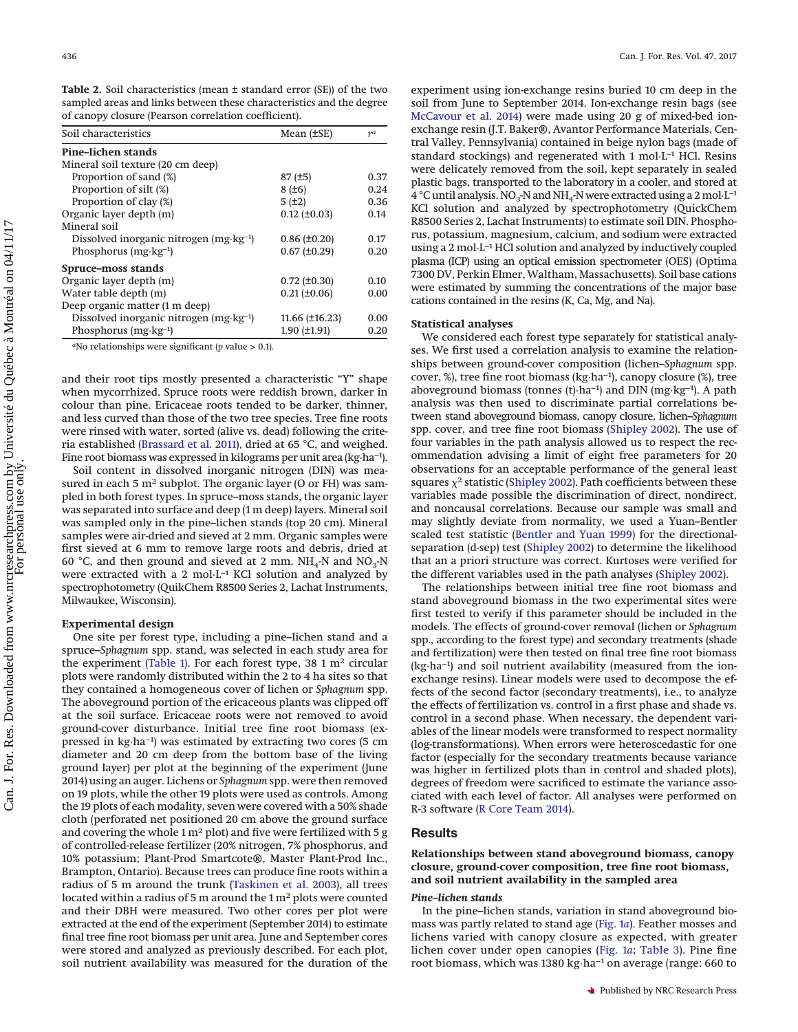<span id="page-3-0"></span>

| Soil characteristics                              | Mean $(\pm SE)$        | $r^a$ |
|---------------------------------------------------|------------------------|-------|
| Pine-lichen stands                                |                        |       |
| Mineral soil texture (20 cm deep)                 |                        |       |
| Proportion of sand (%)                            | 87(±5)                 | 0.37  |
| Proportion of silt (%)                            | 8(±6)                  | 0.24  |
| Proportion of clay (%)                            | 5(±2)                  | 0.36  |
| Organic layer depth (m)                           | $0.12$ (±0.03)         | 0.14  |
| Mineral soil                                      |                        |       |
| Dissolved inorganic nitrogen $(mg \cdot kg^{-1})$ | $0.86 (\pm 0.20)$      | 0.17  |
| Phosphorus $(mg \cdot kg^{-1})$                   | $0.67 (\pm 0.29)$      | 0.20  |
| Spruce-moss stands                                |                        |       |
| Organic layer depth (m)                           | $0.72$ (±0.30)         | 0.10  |
| Water table depth (m)                             | $0.21 (\pm 0.06)$      | 0.00  |
| Deep organic matter (1 m deep)                    |                        |       |
| Dissolved inorganic nitrogen $(mg \cdot kg^{-1})$ | $11.66 \, (\pm 16.23)$ | 0.00  |
| Phosphorus $(mg \cdot kg^{-1})$                   | $1.90$ ( $\pm$ 1.91)   | 0.20  |

*a*No relationships were significant (*p* value > 0.1).

and their root tips mostly presented a characteristic "Y" shape when mycorrhized. Spruce roots were reddish brown, darker in colour than pine. Ericaceae roots tended to be darker, thinner, and less curved than those of the two tree species. Tree fine roots were rinsed with water, sorted (alive vs. dead) following the criteria established [\(Brassard et al. 2011\)](#page-10-19), dried at 65 °C, and weighed. Fine root biomass was expressed in kilograms per unit area (kg·ha−1).

Soil content in dissolved inorganic nitrogen (DIN) was measured in each 5  $m<sup>2</sup>$  subplot. The organic layer (O or FH) was sampled in both forest types. In spruce–moss stands, the organic layer was separated into surface and deep (1 m deep) layers. Mineral soil was sampled only in the pine–lichen stands (top 20 cm). Mineral samples were air-dried and sieved at 2 mm. Organic samples were first sieved at 6 mm to remove large roots and debris, dried at 60 °C, and then ground and sieved at 2 mm.  $NH_4$ -N and  $NO_3$ -N were extracted with a 2 mol $L^{-1}$  KCl solution and analyzed by spectrophotometry (QuikChem R8500 Series 2, Lachat Instruments, Milwaukee, Wisconsin).

#### **Experimental design**

One site per forest type, including a pine–lichen stand and a spruce–*Sphagnum* spp. stand, was selected in each study area for the experiment [\(Table 1\)](#page-2-0). For each forest type, 38 1 m<sup>2</sup> circular plots were randomly distributed within the 2 to 4 ha sites so that they contained a homogeneous cover of lichen or *Sphagnum* spp. The aboveground portion of the ericaceous plants was clipped off at the soil surface. Ericaceae roots were not removed to avoid ground-cover disturbance. Initial tree fine root biomass (expressed in kg·ha−1) was estimated by extracting two cores (5 cm diameter and 20 cm deep from the bottom base of the living ground layer) per plot at the beginning of the experiment (June 2014) using an auger. Lichens or *Sphagnum* spp. were then removed on 19 plots, while the other 19 plots were used as controls. Among the 19 plots of each modality, seven were covered with a 50% shade cloth (perforated net positioned 20 cm above the ground surface and covering the whole  $1 \text{ m}^2$  plot) and five were fertilized with 5 g of controlled-release fertilizer (20% nitrogen, 7% phosphorus, and 10% potassium; Plant-Prod Smartcote®, Master Plant-Prod Inc., Brampton, Ontario). Because trees can produce fine roots within a radius of 5 m around the trunk [\(Taskinen et al. 2003\)](#page-11-9), all trees located within a radius of 5 m around the  $1 \text{ m}^2$  plots were counted and their DBH were measured. Two other cores per plot were extracted at the end of the experiment (September 2014) to estimate final tree fine root biomass per unit area. June and September cores were stored and analyzed as previously described. For each plot, soil nutrient availability was measured for the duration of the experiment using ion-exchange resins buried 10 cm deep in the soil from June to September 2014. Ion-exchange resin bags (see [McCavour et al. 2014\)](#page-10-20) were made using 20 g of mixed-bed ionexchange resin (J.T. Baker®, Avantor Performance Materials, Central Valley, Pennsylvania) contained in beige nylon bags (made of standard stockings) and regenerated with 1 mol·L<sup>-1</sup> HCl. Resins were delicately removed from the soil, kept separately in sealed plastic bags, transported to the laboratory in a cooler, and stored at 4 °C until analysis. NO<sub>3</sub>-N and NH<sub>4</sub>-N were extracted using a 2 mol $\cdot$ L<sup>-1</sup> KCl solution and analyzed by spectrophotometry (QuickChem R8500 Series 2, Lachat Instruments) to estimate soil DIN. Phosphorus, potassium, magnesium, calcium, and sodium were extracted using a 2 mol·L–1 HCl solution and analyzed by inductively coupled plasma (ICP) using an optical emission spectrometer (OES) (Optima 7300 DV, Perkin Elmer, Waltham, Massachusetts). Soil base cations were estimated by summing the concentrations of the major base cations contained in the resins (K, Ca, Mg, and Na).

## **Statistical analyses**

We considered each forest type separately for statistical analyses. We first used a correlation analysis to examine the relationships between ground-cover composition (lichen–*Sphagnum* spp. cover, %), tree fine root biomass (kg·ha−1), canopy closure (%), tree aboveground biomass (tonnes (t)·ha−1) and DIN (mg·kg−1). A path analysis was then used to discriminate partial correlations between stand aboveground biomass, canopy closure, lichen–*Sphagnum* spp. cover, and tree fine root biomass [\(Shipley 2002\)](#page-11-11). The use of four variables in the path analysis allowed us to respect the recommendation advising a limit of eight free parameters for 20 observations for an acceptable performance of the general least squares  $\chi^2$  statistic [\(Shipley 2002\)](#page-11-11). Path coefficients between these variables made possible the discrimination of direct, nondirect, and noncausal correlations. Because our sample was small and may slightly deviate from normality, we used a Yuan–Bentler scaled test statistic [\(Bentler and Yuan 1999\)](#page-10-21) for the directionalseparation (d-sep) test [\(Shipley 2002\)](#page-11-11) to determine the likelihood that an a priori structure was correct. Kurtoses were verified for the different variables used in the path analyses [\(Shipley 2002\)](#page-11-11).

The relationships between initial tree fine root biomass and stand aboveground biomass in the two experimental sites were first tested to verify if this parameter should be included in the models. The effects of ground-cover removal (lichen or *Sphagnum* spp., according to the forest type) and secondary treatments (shade and fertilization) were then tested on final tree fine root biomass (kg·ha−1) and soil nutrient availability (measured from the ionexchange resins). Linear models were used to decompose the effects of the second factor (secondary treatments), i.e., to analyze the effects of fertilization vs. control in a first phase and shade vs. control in a second phase. When necessary, the dependent variables of the linear models were transformed to respect normality (log-transformations). When errors were heteroscedastic for one factor (especially for the secondary treatments because variance was higher in fertilized plots than in control and shaded plots), degrees of freedom were sacrificed to estimate the variance associated with each level of factor. All analyses were performed on R-3 software [\(R Core Team 2014\)](#page-11-12).

## **Results**

**Relationships between stand aboveground biomass, canopy closure, ground-cover composition, tree fine root biomass, and soil nutrient availability in the sampled area**

#### *Pine–lichen stands*

In the pine–lichen stands, variation in stand aboveground biomass was partly related to stand age [\(Fig. 1](#page-4-0)*a*). Feather mosses and lichens varied with canopy closure as expected, with greater lichen cover under open canopies [\(Fig. 1](#page-4-0)*a*; [Table 3\)](#page-4-1). Pine fine root biomass, which was 1380 kg·ha−1 on average (range: 660 to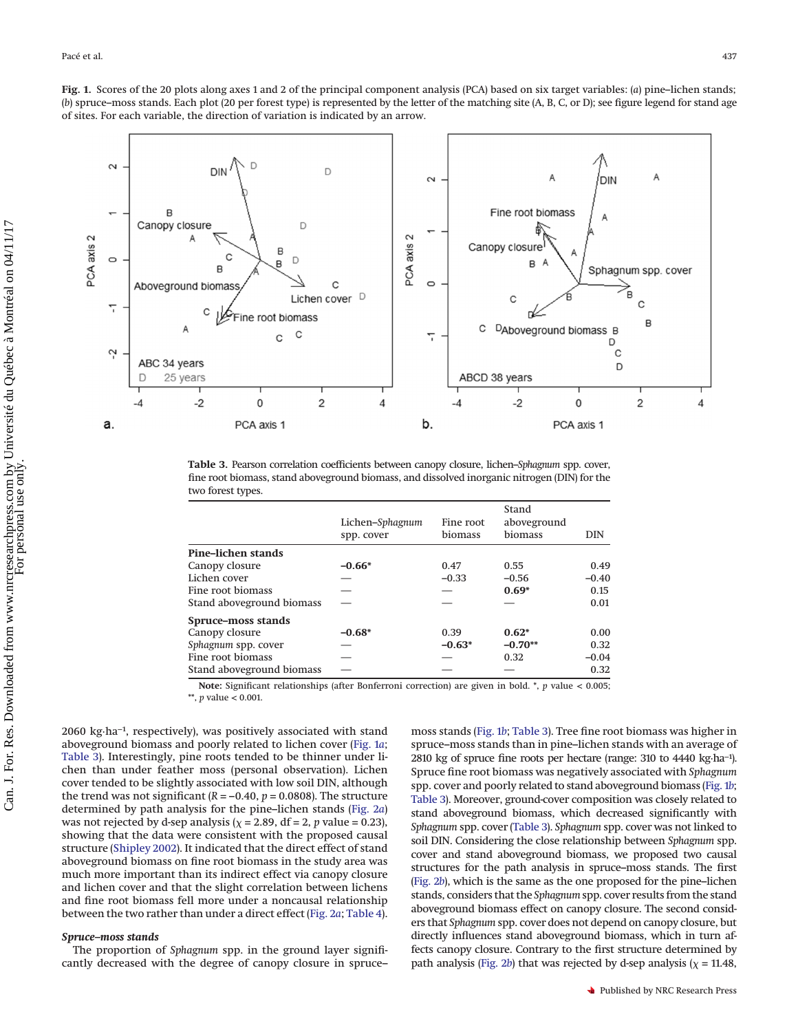<span id="page-4-0"></span>**Fig. 1.** Scores of the 20 plots along axes 1 and 2 of the principal component analysis (PCA) based on six target variables: (*a*) pine–lichen stands; (*b*) spruce–moss stands. Each plot (20 per forest type) is represented by the letter of the matching site (A, B, C, or D); see figure legend for stand age of sites. For each variable, the direction of variation is indicated by an arrow.



<span id="page-4-1"></span>**Table 3.** Pearson correlation coefficients between canopy closure, lichen–*Sphagnum* spp. cover, fine root biomass, stand aboveground biomass, and dissolved inorganic nitrogen (DIN) for the two forest types.

|                           | Lichen-Sphagnum | Fine root | Stand<br>aboveground |            |  |
|---------------------------|-----------------|-----------|----------------------|------------|--|
|                           | spp. cover      | biomass   | biomass              | <b>DIN</b> |  |
| Pine-lichen stands        |                 |           |                      |            |  |
| Canopy closure            | $-0.66*$        | 0.47      | 0.55                 | 0.49       |  |
| Lichen cover              |                 | $-0.33$   | $-0.56$              | $-0.40$    |  |
| Fine root biomass         |                 |           | $0.69*$              | 0.15       |  |
| Stand aboveground biomass |                 |           |                      | 0.01       |  |
| Spruce-moss stands        |                 |           |                      |            |  |
| Canopy closure            | $-0.68*$        | 0.39      | $0.62*$              | 0.00       |  |
| Sphagnum spp. cover       |                 | $-0.63*$  | $-0.70**$            | 0.32       |  |
| Fine root biomass         |                 |           | 0.32                 | $-0.04$    |  |
| Stand aboveground biomass |                 |           |                      | 0.32       |  |

**Note:** Significant relationships (after Bonferroni correction) are given in bold. \*, *p* value < 0.005;

\*\*, *p* value < 0.001.

2060 kg·ha−1, respectively), was positively associated with stand aboveground biomass and poorly related to lichen cover [\(Fig. 1](#page-4-0)*a*; [Table 3\)](#page-4-1). Interestingly, pine roots tended to be thinner under lichen than under feather moss (personal observation). Lichen cover tended to be slightly associated with low soil DIN, although the trend was not significant ( $R = -0.40$ ,  $p = 0.0808$ ). The structure determined by path analysis for the pine–lichen stands [\(Fig. 2](#page-5-0)*a*) was not rejected by d-sep analysis ( $\chi$  = 2.89, df = 2, *p* value = 0.23), showing that the data were consistent with the proposed causal structure [\(Shipley 2002\)](#page-11-11). It indicated that the direct effect of stand aboveground biomass on fine root biomass in the study area was much more important than its indirect effect via canopy closure and lichen cover and that the slight correlation between lichens and fine root biomass fell more under a noncausal relationship between the two rather than under a direct effect [\(Fig. 2](#page-5-0)*a*; [Table 4\)](#page-5-1).

## *Spruce–moss stands*

The proportion of *Sphagnum* spp. in the ground layer significantly decreased with the degree of canopy closure in spruce– moss stands [\(Fig. 1](#page-4-0)*b*; [Table 3\)](#page-4-1). Tree fine root biomass was higher in spruce–moss stands than in pine–lichen stands with an average of 2810 kg of spruce fine roots per hectare (range: 310 to 4440 kg·ha−1). Spruce fine root biomass was negatively associated with *Sphagnum* spp. cover and poorly related to stand aboveground biomass [\(Fig. 1](#page-4-0)*b*; [Table 3\)](#page-4-1). Moreover, ground-cover composition was closely related to stand aboveground biomass, which decreased significantly with *Sphagnum* spp. cover [\(Table 3\)](#page-4-1). *Sphagnum* spp. cover was not linked to soil DIN. Considering the close relationship between *Sphagnum* spp. cover and stand aboveground biomass, we proposed two causal structures for the path analysis in spruce–moss stands. The first [\(Fig. 2](#page-5-0)*b*), which is the same as the one proposed for the pine–lichen stands, considers that the *Sphagnum* spp. cover results from the stand aboveground biomass effect on canopy closure. The second considers that *Sphagnum* spp. cover does not depend on canopy closure, but directly influences stand aboveground biomass, which in turn affects canopy closure. Contrary to the first structure determined by path analysis [\(Fig. 2](#page-5-0)*b*) that was rejected by d-sep analysis ( $\chi$  = 11.48,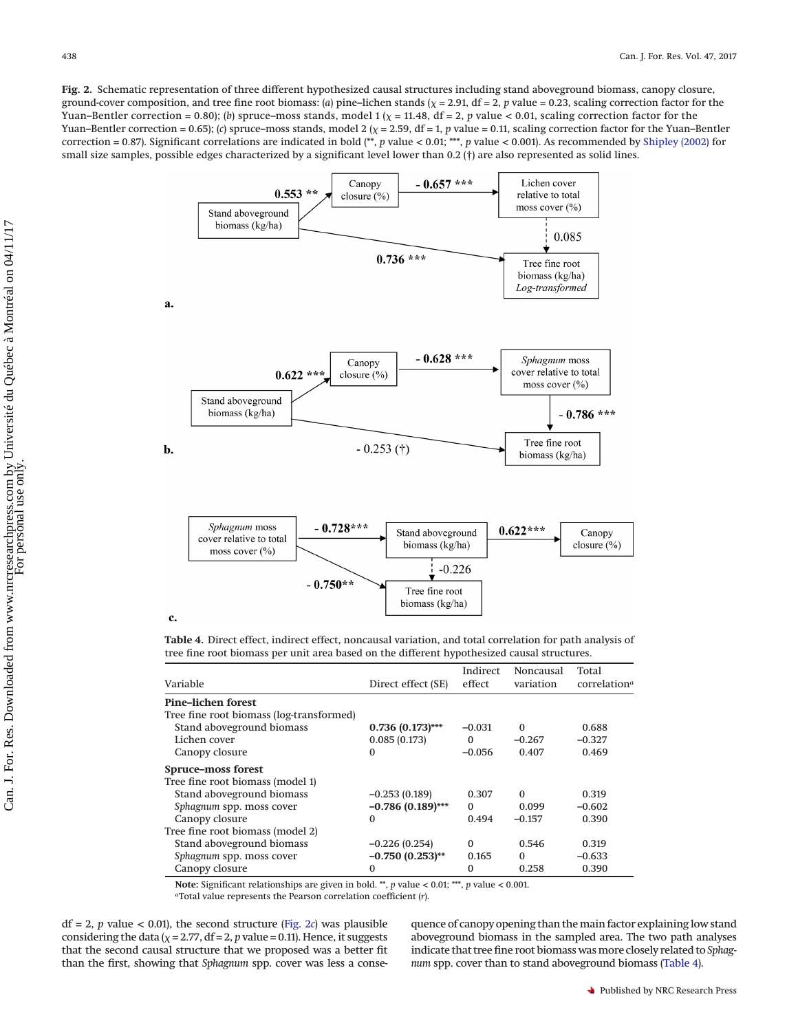<span id="page-5-0"></span>**Fig. 2.** Schematic representation of three different hypothesized causal structures including stand aboveground biomass, canopy closure, ground-cover composition, and tree fine root biomass: (a) pine–lichen stands ( $\chi$  = 2.91, df = 2, p value = 0.23, scaling correction factor for the Yuan–Bentler correction = 0.80); (b) spruce–moss stands, model 1 ( $\chi$  = 11.48, df = 2, *p* value < 0.01, scaling correction factor for the Yuan–Bentler correction =  $0.65$ ); (*c*) spruce–moss stands, model 2 ( $\chi$  = 2.59, df = 1, *p* value = 0.11, scaling correction factor for the Yuan–Bentler correction = 0.87). Significant correlations are indicated in bold (\*\*, *p* value < 0.01; \*\*\*, *p* value < 0.001). As recommended by [Shipley \(2002\)](#page-11-11) for small size samples, possible edges characterized by a significant level lower than 0.2 (†) are also represented as solid lines.



## c.

<span id="page-5-1"></span>**Table 4.** Direct effect, indirect effect, noncausal variation, and total correlation for path analysis of tree fine root biomass per unit area based on the different hypothesized causal structures.

| Variable                                 | Direct effect (SE)  | Indirect<br>effect | Noncausal<br>variation | Total<br>correlation <sup>a</sup> |
|------------------------------------------|---------------------|--------------------|------------------------|-----------------------------------|
| <b>Pine-lichen forest</b>                |                     |                    |                        |                                   |
| Tree fine root biomass (log-transformed) |                     |                    |                        |                                   |
| Stand aboveground biomass                | $0.736(0.173)$ ***  | $-0.031$           | $\Omega$               | 0.688                             |
| Lichen cover                             | 0.085(0.173)        | $\Omega$           | $-0.267$               | $-0.327$                          |
| Canopy closure                           | 0                   | $-0.056$           | 0.407                  | 0.469                             |
| Spruce–moss forest                       |                     |                    |                        |                                   |
| Tree fine root biomass (model 1)         |                     |                    |                        |                                   |
| Stand aboveground biomass                | $-0.253(0.189)$     | 0.307              | $\Omega$               | 0.319                             |
| Sphagnum spp. moss cover                 | $-0.786(0.189)$ *** | $\Omega$           | 0.099                  | $-0.602$                          |
| Canopy closure                           | 0                   | 0.494              | $-0.157$               | 0.390                             |
| Tree fine root biomass (model 2)         |                     |                    |                        |                                   |
| Stand aboveground biomass                | $-0.226(0.254)$     | $\Omega$           | 0.546                  | 0.319                             |
| Sphagnum spp. moss cover                 | $-0.750(0.253)$ **  | 0.165              | $\theta$               | $-0.633$                          |
| Canopy closure                           | 0                   | $\Omega$           | 0.258                  | 0.390                             |

**Note:** Significant relationships are given in bold. \*\*, *p* value < 0.01; \*\*\*, *p* value < 0.001.

*a*Total value represents the Pearson correlation coefficient (*r*).

 $df = 2$ , *p* value < 0.01), the second structure [\(Fig. 2](#page-5-0)*c*) was plausible considering the data ( $\chi$  = 2.77, df = 2, *p* value = 0.11). Hence, it suggests that the second causal structure that we proposed was a better fit than the first, showing that *Sphagnum* spp. cover was less a conse-

quence of canopy opening than the main factor explaining low stand aboveground biomass in the sampled area. The two path analyses indicate that tree fine root biomass wasmore closely related to *Sphagnum* spp. cover than to stand aboveground biomass [\(Table 4\)](#page-5-1).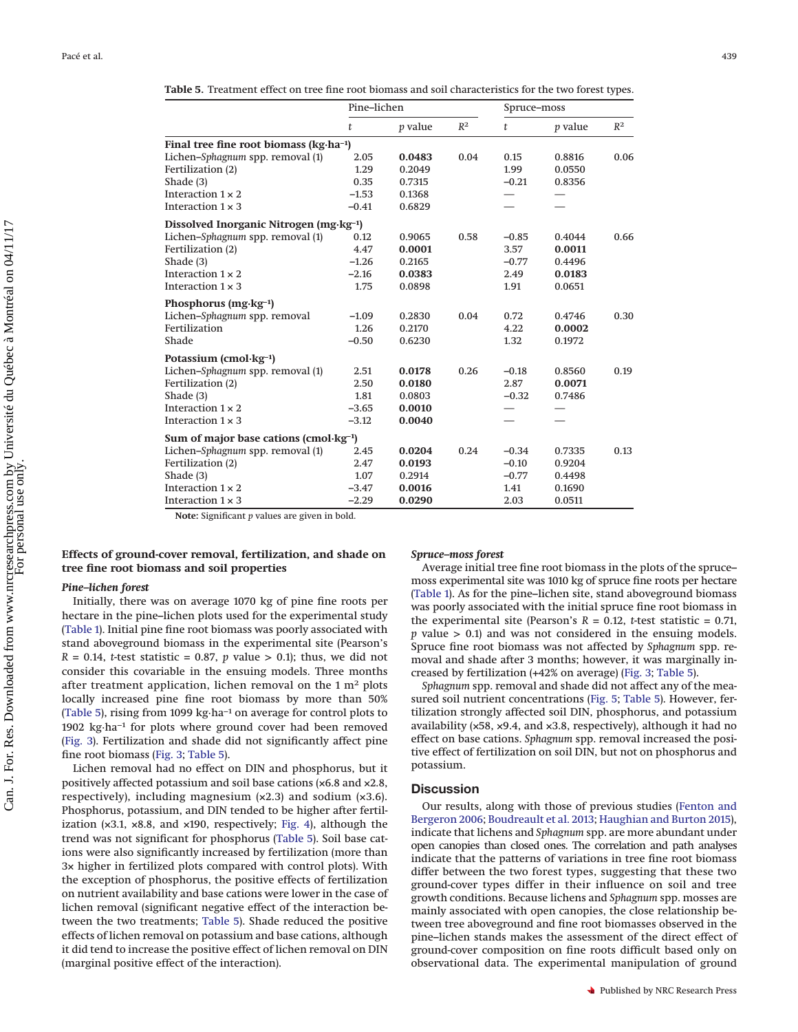<span id="page-6-0"></span>**Table 5.** Treatment effect on tree fine root biomass and soil characteristics for the two forest types.

|                                                      | Pine-lichen |           |       | Spruce–moss |                |       |
|------------------------------------------------------|-------------|-----------|-------|-------------|----------------|-------|
|                                                      | t           | $p$ value | $R^2$ | t           | <i>p</i> value | $R^2$ |
| Final tree fine root biomass ( $kg \cdot ha^{-1}$ )  |             |           |       |             |                |       |
| Lichen-Sphagnum spp. removal (1)                     | 2.05        | 0.0483    | 0.04  | 0.15        | 0.8816         | 0.06  |
| Fertilization (2)                                    | 1.29        | 0.2049    |       | 1.99        | 0.0550         |       |
| Shade (3)                                            | 0.35        | 0.7315    |       | $-0.21$     | 0.8356         |       |
| Interaction $1 \times 2$                             | $-1.53$     | 0.1368    |       |             |                |       |
| Interaction $1 \times 3$                             | $-0.41$     | 0.6829    |       |             |                |       |
| Dissolved Inorganic Nitrogen (mg·kg <sup>-1</sup> )  |             |           |       |             |                |       |
| Lichen-Sphagnum spp. removal (1)                     | 0.12        | 0.9065    | 0.58  | $-0.85$     | 0.4044         | 0.66  |
| Fertilization (2)                                    | 4.47        | 0.0001    |       | 3.57        | 0.0011         |       |
| Shade (3)                                            | $-1.26$     | 0.2165    |       | $-0.77$     | 0.4496         |       |
| Interaction $1 \times 2$                             | $-2.16$     | 0.0383    |       | 2.49        | 0.0183         |       |
| Interaction $1 \times 3$                             | 1.75        | 0.0898    |       | 1.91        | 0.0651         |       |
| Phosphorus $(mg \cdot kg^{-1})$                      |             |           |       |             |                |       |
| Lichen-Sphagnum spp. removal                         | $-1.09$     | 0.2830    | 0.04  | 0.72        | 0.4746         | 0.30  |
| Fertilization                                        | 1.26        | 0.2170    |       | 4.22        | 0.0002         |       |
| Shade                                                | $-0.50$     | 0.6230    |       | 1.32        | 0.1972         |       |
| Potassium (cmol $\cdot$ kg <sup>-1</sup> )           |             |           |       |             |                |       |
| Lichen-Sphagnum spp. removal (1)                     | 2.51        | 0.0178    | 0.26  | $-0.18$     | 0.8560         | 0.19  |
| Fertilization (2)                                    | 2.50        | 0.0180    |       | 2.87        | 0.0071         |       |
| Shade (3)                                            | 1.81        | 0.0803    |       | $-0.32$     | 0.7486         |       |
| Interaction $1 \times 2$                             | $-3.65$     | 0.0010    |       |             |                |       |
| Interaction $1 \times 3$                             | $-3.12$     | 0.0040    |       |             |                |       |
| Sum of major base cations (cmol $\cdot$ kg $^{-1}$ ) |             |           |       |             |                |       |
| Lichen-Sphagnum spp. removal (1)                     | 2.45        | 0.0204    | 0.24  | $-0.34$     | 0.7335         | 0.13  |
| Fertilization (2)                                    | 2.47        | 0.0193    |       | $-0.10$     | 0.9204         |       |
| Shade (3)                                            | 1.07        | 0.2914    |       | $-0.77$     | 0.4498         |       |
| Interaction $1 \times 2$                             | $-3.47$     | 0.0016    |       | 1.41        | 0.1690         |       |
| Interaction $1 \times 3$                             | $-2.29$     | 0.0290    |       | 2.03        | 0.0511         |       |

**Note:** Significant *p* values are given in bold.

## **Effects of ground-cover removal, fertilization, and shade on tree fine root biomass and soil properties**

## *Pine–lichen forest*

Initially, there was on average 1070 kg of pine fine roots per hectare in the pine–lichen plots used for the experimental study [\(Table 1\)](#page-2-0). Initial pine fine root biomass was poorly associated with stand aboveground biomass in the experimental site (Pearson's  $R = 0.14$ , *t*-test statistic = 0.87, *p* value > 0.1); thus, we did not consider this covariable in the ensuing models. Three months after treatment application, lichen removal on the  $1 \text{ m}^2$  plots locally increased pine fine root biomass by more than 50% [\(Table 5\)](#page-6-0), rising from 1099 kg·ha−1 on average for control plots to 1902 kg·ha−1 for plots where ground cover had been removed [\(Fig. 3\)](#page-7-0). Fertilization and shade did not significantly affect pine fine root biomass [\(Fig. 3;](#page-7-0) [Table 5\)](#page-6-0).

Lichen removal had no effect on DIN and phosphorus, but it positively affected potassium and soil base cations (×6.8 and ×2.8, respectively), including magnesium  $(x2.3)$  and sodium  $(x3.6)$ . Phosphorus, potassium, and DIN tended to be higher after fertilization (×3.1, ×8.8, and ×190, respectively; [Fig. 4\)](#page-7-1), although the trend was not significant for phosphorus [\(Table 5\)](#page-6-0). Soil base cations were also significantly increased by fertilization (more than 3× higher in fertilized plots compared with control plots). With the exception of phosphorus, the positive effects of fertilization on nutrient availability and base cations were lower in the case of lichen removal (significant negative effect of the interaction between the two treatments; [Table 5\)](#page-6-0). Shade reduced the positive effects of lichen removal on potassium and base cations, although it did tend to increase the positive effect of lichen removal on DIN (marginal positive effect of the interaction).

## *Spruce–moss forest*

Average initial tree fine root biomass in the plots of the spruce– moss experimental site was 1010 kg of spruce fine roots per hectare [\(Table 1\)](#page-2-0). As for the pine–lichen site, stand aboveground biomass was poorly associated with the initial spruce fine root biomass in the experimental site (Pearson's  $R = 0.12$ , *t*-test statistic = 0.71, *p* value > 0.1) and was not considered in the ensuing models. Spruce fine root biomass was not affected by *Sphagnum* spp. removal and shade after 3 months; however, it was marginally increased by fertilization (+42% on average) [\(Fig. 3;](#page-7-0) [Table 5\)](#page-6-0).

*Sphagnum* spp. removal and shade did not affect any of the measured soil nutrient concentrations [\(Fig. 5;](#page-8-0) [Table 5\)](#page-6-0). However, fertilization strongly affected soil DIN, phosphorus, and potassium availability (×58, ×9.4, and ×3.8, respectively), although it had no effect on base cations. *Sphagnum* spp. removal increased the positive effect of fertilization on soil DIN, but not on phosphorus and potassium.

## **Discussion**

Our results, along with those of previous studies [\(Fenton and](#page-10-22) [Bergeron 2006;](#page-10-22) [Boudreault et al. 2013;](#page-10-23) [Haughian and Burton 2015\)](#page-10-24), indicate that lichens and *Sphagnum* spp. are more abundant under open canopies than closed ones. The correlation and path analyses indicate that the patterns of variations in tree fine root biomass differ between the two forest types, suggesting that these two ground-cover types differ in their influence on soil and tree growth conditions. Because lichens and *Sphagnum* spp. mosses are mainly associated with open canopies, the close relationship between tree aboveground and fine root biomasses observed in the pine–lichen stands makes the assessment of the direct effect of ground-cover composition on fine roots difficult based only on observational data. The experimental manipulation of ground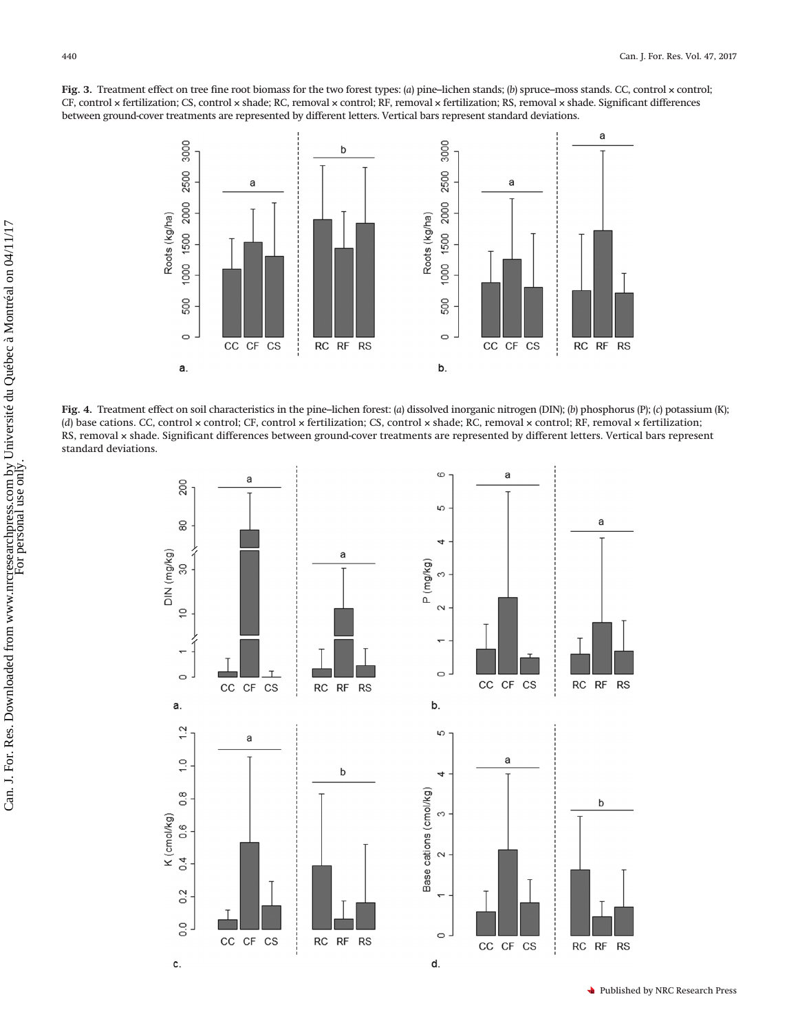<span id="page-7-0"></span>**Fig. 3.** Treatment effect on tree fine root biomass for the two forest types: (*a*) pine–lichen stands; (*b*) spruce–moss stands. CC, control × control; CF, control × fertilization; CS, control × shade; RC, removal × control; RF, removal × fertilization; RS, removal × shade. Significant differences between ground-cover treatments are represented by different letters. Vertical bars represent standard deviations.



<span id="page-7-1"></span>**Fig. 4.** Treatment effect on soil characteristics in the pine–lichen forest: (*a*) dissolved inorganic nitrogen (DIN); (*b*) phosphorus (P); (*c*) potassium (K); (*d*) base cations. CC, control × control; CF, control × fertilization; CS, control × shade; RC, removal × control; RF, removal × fertilization; RS, removal × shade. Significant differences between ground-cover treatments are represented by different letters. Vertical bars represent standard deviations.

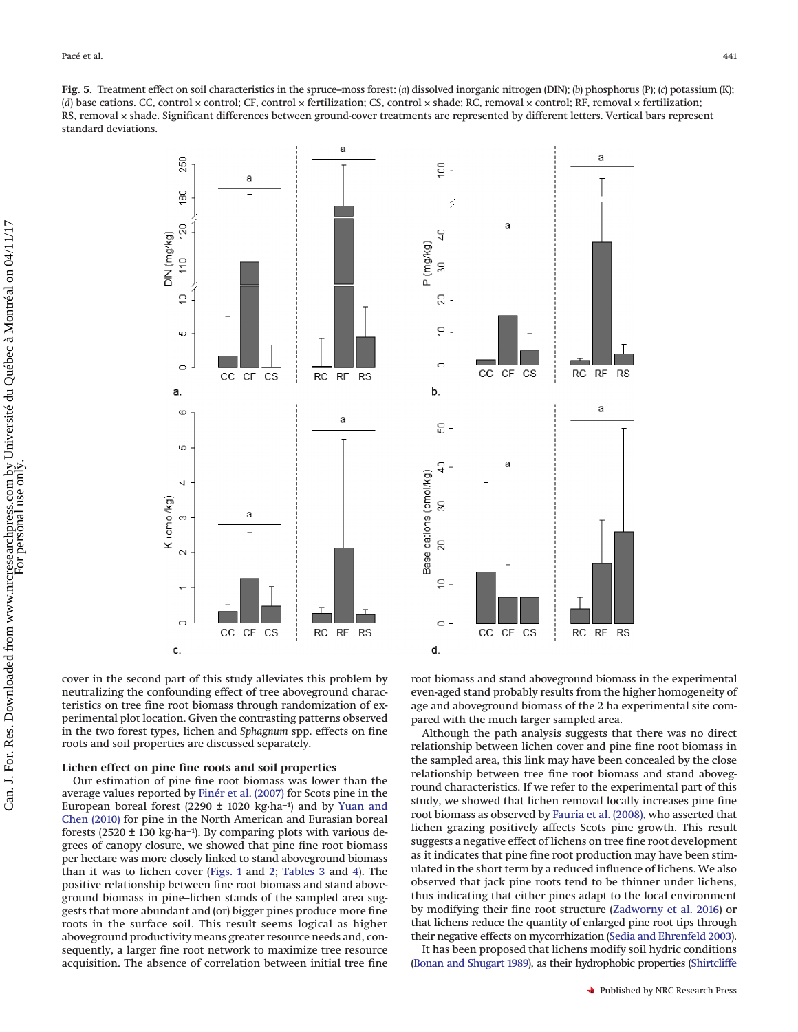<span id="page-8-0"></span>**Fig. 5.** Treatment effect on soil characteristics in the spruce–moss forest: (*a*) dissolved inorganic nitrogen (DIN); (*b*) phosphorus (P); (*c*) potassium (K); (*d*) base cations. CC, control × control; CF, control × fertilization; CS, control × shade; RC, removal × control; RF, removal × fertilization; RS, removal × shade. Significant differences between ground-cover treatments are represented by different letters. Vertical bars represent standard deviations.

90

d<br>4

 $\overline{3}$ 

 $\mathbb S$ 

å

 $\circ$ 

8

<del>្នុ</del>

8

g

5

 $\circ$ 

d.

 $CC$ CF CS

Base cations (cmol/kg)

b.

 $cc$  $\mathsf{C}\mathsf{F}$ CS

a

P (mg/kg)

a



cover in the second part of this study alleviates this problem by neutralizing the confounding effect of tree aboveground characteristics on tree fine root biomass through randomization of experimental plot location. Given the contrasting patterns observed in the two forest types, lichen and *Sphagnum* spp. effects on fine roots and soil properties are discussed separately.

## **Lichen effect on pine fine roots and soil properties**

Our estimation of pine fine root biomass was lower than the average values reported by [Finér et al. \(2007\)](#page-10-25) for Scots pine in the European boreal forest (2290 ± 1020 kg·ha−1) and by [Yuan and](#page-11-13) [Chen \(2010\)](#page-11-13) for pine in the North American and Eurasian boreal forests (2520 ± 130 kg·ha−1). By comparing plots with various degrees of canopy closure, we showed that pine fine root biomass per hectare was more closely linked to stand aboveground biomass than it was to lichen cover [\(Figs. 1](#page-4-0) and [2;](#page-5-0) [Tables 3](#page-4-1) and [4\)](#page-5-1). The positive relationship between fine root biomass and stand aboveground biomass in pine–lichen stands of the sampled area suggests that more abundant and (or) bigger pines produce more fine roots in the surface soil. This result seems logical as higher aboveground productivity means greater resource needs and, consequently, a larger fine root network to maximize tree resource acquisition. The absence of correlation between initial tree fine

root biomass and stand aboveground biomass in the experimental even-aged stand probably results from the higher homogeneity of age and aboveground biomass of the 2 ha experimental site compared with the much larger sampled area.

RC RF **RS** 

a

 $\top$ 

 $RS$ 

RC RF

a

Although the path analysis suggests that there was no direct relationship between lichen cover and pine fine root biomass in the sampled area, this link may have been concealed by the close relationship between tree fine root biomass and stand aboveground characteristics. If we refer to the experimental part of this study, we showed that lichen removal locally increases pine fine root biomass as observed by [Fauria et al. \(2008\),](#page-10-14) who asserted that lichen grazing positively affects Scots pine growth. This result suggests a negative effect of lichens on tree fine root development as it indicates that pine fine root production may have been stimulated in the short term by a reduced influence of lichens. We also observed that jack pine roots tend to be thinner under lichens, thus indicating that either pines adapt to the local environment by modifying their fine root structure [\(Zadworny et al. 2016\)](#page-11-14) or that lichens reduce the quantity of enlarged pine root tips through their negative effects on mycorrhization [\(Sedia and Ehrenfeld 2003\)](#page-11-2).

It has been proposed that lichens modify soil hydric conditions [\(Bonan and Shugart 1989\)](#page-10-26), as their hydrophobic properties [\(Shirtcliffe](#page-11-15)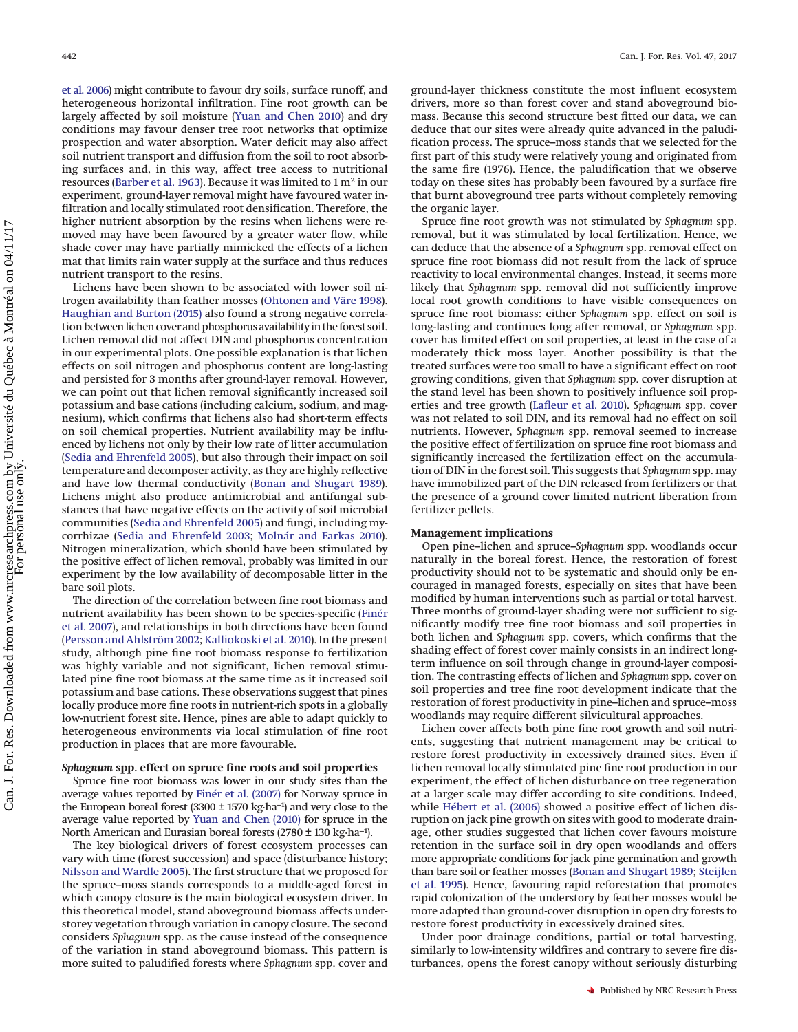[et al. 2006\)](#page-11-15) might contribute to favour dry soils, surface runoff, and heterogeneous horizontal infiltration. Fine root growth can be largely affected by soil moisture [\(Yuan and Chen 2010\)](#page-11-13) and dry conditions may favour denser tree root networks that optimize prospection and water absorption. Water deficit may also affect soil nutrient transport and diffusion from the soil to root absorbing surfaces and, in this way, affect tree access to nutritional resources [\(Barber et al. 1963\)](#page-10-27). Because it was limited to 1 m2 in our experiment, ground-layer removal might have favoured water infiltration and locally stimulated root densification. Therefore, the higher nutrient absorption by the resins when lichens were removed may have been favoured by a greater water flow, while shade cover may have partially mimicked the effects of a lichen mat that limits rain water supply at the surface and thus reduces nutrient transport to the resins.

Lichens have been shown to be associated with lower soil nitrogen availability than feather mosses [\(Ohtonen and Väre 1998\)](#page-11-1). [Haughian and Burton \(2015\)](#page-10-24) also found a strong negative correlation between lichen cover and phosphorus availability in the forest soil. Lichen removal did not affect DIN and phosphorus concentration in our experimental plots. One possible explanation is that lichen effects on soil nitrogen and phosphorus content are long-lasting and persisted for 3 months after ground-layer removal. However, we can point out that lichen removal significantly increased soil potassium and base cations (including calcium, sodium, and magnesium), which confirms that lichens also had short-term effects on soil chemical properties. Nutrient availability may be influenced by lichens not only by their low rate of litter accumulation [\(Sedia and Ehrenfeld 2005\)](#page-11-16), but also through their impact on soil temperature and decomposer activity, as they are highly reflective and have low thermal conductivity [\(Bonan and Shugart 1989\)](#page-10-26). Lichens might also produce antimicrobial and antifungal substances that have negative effects on the activity of soil microbial communities [\(Sedia and Ehrenfeld 2005\)](#page-11-16) and fungi, including mycorrhizae [\(Sedia and Ehrenfeld 2003;](#page-11-2) [Molnár and Farkas 2010\)](#page-11-4). Nitrogen mineralization, which should have been stimulated by the positive effect of lichen removal, probably was limited in our experiment by the low availability of decomposable litter in the bare soil plots.

The direction of the correlation between fine root biomass and nutrient availability has been shown to be species-specific [\(Finér](#page-10-25) [et al. 2007\)](#page-10-25), and relationships in both directions have been found [\(Persson and Ahlström 2002;](#page-11-8) [Kalliokoski et al. 2010\)](#page-10-11). In the present study, although pine fine root biomass response to fertilization was highly variable and not significant, lichen removal stimulated pine fine root biomass at the same time as it increased soil potassium and base cations. These observations suggest that pines locally produce more fine roots in nutrient-rich spots in a globally low-nutrient forest site. Hence, pines are able to adapt quickly to heterogeneous environments via local stimulation of fine root production in places that are more favourable.

## *Sphagnum* **spp. effect on spruce fine roots and soil properties**

Spruce fine root biomass was lower in our study sites than the average values reported by [Finér et al. \(2007\)](#page-10-25) for Norway spruce in the European boreal forest (3300 ± 1570 kg·ha−1) and very close to the average value reported by [Yuan and Chen \(2010\)](#page-11-13) for spruce in the North American and Eurasian boreal forests (2780 ± 130 kg·ha−1).

The key biological drivers of forest ecosystem processes can vary with time (forest succession) and space (disturbance history; [Nilsson and Wardle 2005\)](#page-11-3). The first structure that we proposed for the spruce–moss stands corresponds to a middle-aged forest in which canopy closure is the main biological ecosystem driver. In this theoretical model, stand aboveground biomass affects understorey vegetation through variation in canopy closure. The second considers *Sphagnum* spp. as the cause instead of the consequence of the variation in stand aboveground biomass. This pattern is more suited to paludified forests where *Sphagnum* spp. cover and ground-layer thickness constitute the most influent ecosystem drivers, more so than forest cover and stand aboveground biomass. Because this second structure best fitted our data, we can deduce that our sites were already quite advanced in the paludification process. The spruce–moss stands that we selected for the first part of this study were relatively young and originated from the same fire (1976). Hence, the paludification that we observe today on these sites has probably been favoured by a surface fire that burnt aboveground tree parts without completely removing the organic layer.

Spruce fine root growth was not stimulated by *Sphagnum* spp. removal, but it was stimulated by local fertilization. Hence, we can deduce that the absence of a *Sphagnum* spp. removal effect on spruce fine root biomass did not result from the lack of spruce reactivity to local environmental changes. Instead, it seems more likely that *Sphagnum* spp. removal did not sufficiently improve local root growth conditions to have visible consequences on spruce fine root biomass: either *Sphagnum* spp. effect on soil is long-lasting and continues long after removal, or *Sphagnum* spp. cover has limited effect on soil properties, at least in the case of a moderately thick moss layer. Another possibility is that the treated surfaces were too small to have a significant effect on root growing conditions, given that *Sphagnum* spp. cover disruption at the stand level has been shown to positively influence soil properties and tree growth [\(Lafleur et al. 2010\)](#page-10-28). *Sphagnum* spp. cover was not related to soil DIN, and its removal had no effect on soil nutrients. However, *Sphagnum* spp. removal seemed to increase the positive effect of fertilization on spruce fine root biomass and significantly increased the fertilization effect on the accumulation of DIN in the forest soil. This suggests that *Sphagnum* spp. may have immobilized part of the DIN released from fertilizers or that the presence of a ground cover limited nutrient liberation from fertilizer pellets.

#### **Management implications**

Open pine–lichen and spruce–*Sphagnum* spp. woodlands occur naturally in the boreal forest. Hence, the restoration of forest productivity should not to be systematic and should only be encouraged in managed forests, especially on sites that have been modified by human interventions such as partial or total harvest. Three months of ground-layer shading were not sufficient to significantly modify tree fine root biomass and soil properties in both lichen and *Sphagnum* spp. covers, which confirms that the shading effect of forest cover mainly consists in an indirect longterm influence on soil through change in ground-layer composition. The contrasting effects of lichen and *Sphagnum* spp. cover on soil properties and tree fine root development indicate that the restoration of forest productivity in pine–lichen and spruce–moss woodlands may require different silvicultural approaches.

Lichen cover affects both pine fine root growth and soil nutrients, suggesting that nutrient management may be critical to restore forest productivity in excessively drained sites. Even if lichen removal locally stimulated pine fine root production in our experiment, the effect of lichen disturbance on tree regeneration at a larger scale may differ according to site conditions. Indeed, while [Hébert et al. \(2006\)](#page-10-29) showed a positive effect of lichen disruption on jack pine growth on sites with good to moderate drainage, other studies suggested that lichen cover favours moisture retention in the surface soil in dry open woodlands and offers more appropriate conditions for jack pine germination and growth than bare soil or feather mosses [\(Bonan and Shugart 1989;](#page-10-26) [Steijlen](#page-11-17) [et al. 1995\)](#page-11-17). Hence, favouring rapid reforestation that promotes rapid colonization of the understory by feather mosses would be more adapted than ground-cover disruption in open dry forests to restore forest productivity in excessively drained sites.

Under poor drainage conditions, partial or total harvesting, similarly to low-intensity wildfires and contrary to severe fire disturbances, opens the forest canopy without seriously disturbing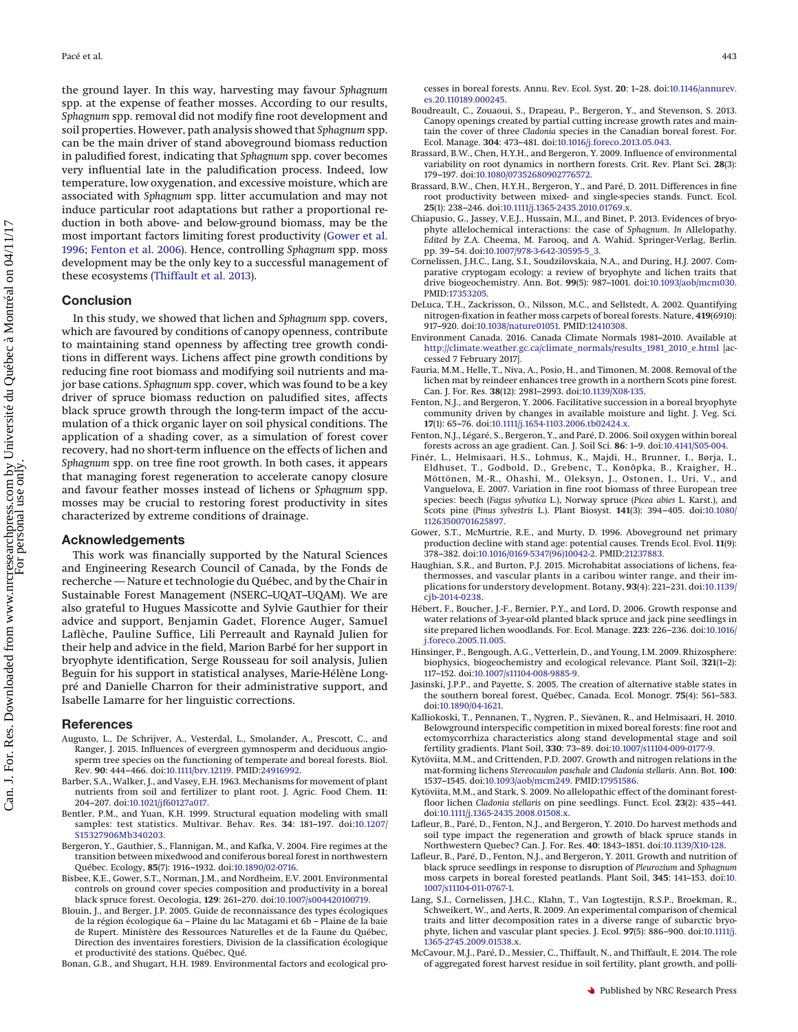the ground layer. In this way, harvesting may favour *Sphagnum* spp. at the expense of feather mosses. According to our results, *Sphagnum* spp. removal did not modify fine root development and soil properties. However, path analysis showed that *Sphagnum* spp. can be the main driver of stand aboveground biomass reduction in paludified forest, indicating that *Sphagnum* spp. cover becomes very influential late in the paludification process. Indeed, low temperature, low oxygenation, and excessive moisture, which are associated with *Sphagnum* spp. litter accumulation and may not induce particular root adaptations but rather a proportional reduction in both above- and below-ground biomass, may be the most important factors limiting forest productivity [\(Gower et al.](#page-10-13) [1996;](#page-10-13) [Fenton et al. 2006\)](#page-10-4). Hence, controlling *Sphagnum* spp. moss development may be the only key to a successful management of these ecosystems [\(Thiffault et al. 2013\)](#page-11-18).

## **Conclusion**

In this study, we showed that lichen and *Sphagnum* spp. covers, which are favoured by conditions of canopy openness, contribute to maintaining stand openness by affecting tree growth conditions in different ways. Lichens affect pine growth conditions by reducing fine root biomass and modifying soil nutrients and major base cations. *Sphagnum* spp. cover, which was found to be a key driver of spruce biomass reduction on paludified sites, affects black spruce growth through the long-term impact of the accumulation of a thick organic layer on soil physical conditions. The application of a shading cover, as a simulation of forest cover recovery, had no short-term influence on the effects of lichen and *Sphagnum* spp. on tree fine root growth. In both cases, it appears that managing forest regeneration to accelerate canopy closure and favour feather mosses instead of lichens or *Sphagnum* spp. mosses may be crucial to restoring forest productivity in sites characterized by extreme conditions of drainage.

## **Acknowledgements**

This work was financially supported by the Natural Sciences and Engineering Research Council of Canada, by the Fonds de recherche — Nature et technologie du Québec, and by the Chair in Sustainable Forest Management (NSERC–UQAT–UQAM). We are also grateful to Hugues Massicotte and Sylvie Gauthier for their advice and support, Benjamin Gadet, Florence Auger, Samuel Laflèche, Pauline Suffice, Lili Perreault and Raynald Julien for their help and advice in the field, Marion Barbé for her support in bryophyte identification, Serge Rousseau for soil analysis, Julien Beguin for his support in statistical analyses, Marie-Hélène Longpré and Danielle Charron for their administrative support, and Isabelle Lamarre for her linguistic corrections.

## <span id="page-10-3"></span>**References**

- Augusto, L., De Schrijver, A., Vesterdal, L., Smolander, A., Prescott, C., and Ranger, J. 2015. Influences of evergreen gymnosperm and deciduous angiosperm tree species on the functioning of temperate and boreal forests. Biol. Rev. **90**: 444–466. doi[:10.1111/brv.12119.](http://dx.doi.org/10.1111/brv.12119) PMID[:24916992.](http://www.ncbi.nlm.nih.gov/pubmed/24916992)
- <span id="page-10-27"></span>Barber, S.A., Walker, J., and Vasey, E.H. 1963. Mechanisms for movement of plant nutrients from soil and fertilizer to plant root. J. Agric. Food Chem. **11**: 204–207. doi[:10.1021/jf60127a017.](http://dx.doi.org/10.1021/jf60127a017)
- <span id="page-10-21"></span>Bentler, P.M., and Yuan, K.H. 1999. Structural equation modeling with small samples: test statistics. Multivar. Behav. Res. **34**: 181–197. doi[:10.1207/](http://dx.doi.org/10.1207/S15327906Mb340203) [S15327906Mb340203.](http://dx.doi.org/10.1207/S15327906Mb340203)
- <span id="page-10-15"></span>Bergeron, Y., Gauthier, S., Flannigan, M., and Kafka, V. 2004. Fire regimes at the transition between mixedwood and coniferous boreal forest in northwestern Québec. Ecology, **85**(7): 1916–1932. doi[:10.1890/02-0716.](http://dx.doi.org/10.1890/02-0716)
- <span id="page-10-8"></span>Bisbee, K.E., Gower, S.T., Norman, J.M., and Nordheim, E.V. 2001. Environmental controls on ground cover species composition and productivity in a boreal black spruce forest. Oecologia, **129**: 261–270. doi[:10.1007/s004420100719.](http://dx.doi.org/10.1007/s004420100719)
- <span id="page-10-17"></span>Blouin, J., and Berger, J.P. 2005. Guide de reconnaissance des types écologiques de la région écologique 6a – Plaine du lac Matagami et 6b – Plaine de la baie de Rupert. Ministère des Ressources Naturelles et de la Faune du Québec, Direction des inventaires forestiers, Division de la classification écologique et productivité des stations. Québec, Qué.

<span id="page-10-26"></span>Bonan, G.B., and Shugart, H.H. 1989. Environmental factors and ecological pro-

cesses in boreal forests. Annu. Rev. Ecol. Syst. **20**: 1–28. doi[:10.1146/annurev.](http://dx.doi.org/10.1146/annurev.es.20.110189.000245) [es.20.110189.000245.](http://dx.doi.org/10.1146/annurev.es.20.110189.000245)

- <span id="page-10-23"></span>Boudreault, C., Zouaoui, S., Drapeau, P., Bergeron, Y., and Stevenson, S. 2013. Canopy openings created by partial cutting increase growth rates and maintain the cover of three *Cladonia* species in the Canadian boreal forest. For. Ecol. Manage. **304**: 473–481. doi[:10.1016/j.foreco.2013.05.043.](http://dx.doi.org/10.1016/j.foreco.2013.05.043)
- <span id="page-10-10"></span>Brassard, B.W., Chen, H.Y.H., and Bergeron, Y. 2009. Influence of environmental variability on root dynamics in northern forests. Crit. Rev. Plant Sci. **28**(3): 179–197. doi[:10.1080/07352680902776572.](http://dx.doi.org/10.1080/07352680902776572)
- <span id="page-10-19"></span>Brassard, B.W., Chen, H.Y.H., Bergeron, Y., and Paré, D. 2011. Differences in fine root productivity between mixed- and single-species stands. Funct. Ecol. **25**(1): 238–246. doi[:10.1111/j.1365-2435.2010.01769.x.](http://dx.doi.org/10.1111/j.1365-2435.2010.01769.x)
- <span id="page-10-5"></span>Chiapusio, G., Jassey, V.E.J., Hussain, M.I., and Binet, P. 2013. Evidences of bryophyte allelochemical interactions: the case of *Sphagnum*. *In* Allelopathy. *Edited by* Z.A. Cheema, M. Farooq, and A. Wahid. Springer-Verlag, Berlin. pp. 39–54. doi[:10.1007/978-3-642-30595-5\\_3.](http://dx.doi.org/10.1007/978-3-642-30595-5_3)
- <span id="page-10-0"></span>Cornelissen, J.H.C., Lang, S.I., Soudzilovskaia, N.A., and During, H.J. 2007. Comparative cryptogam ecology: a review of bryophyte and lichen traits that drive biogeochemistry. Ann. Bot. **99**(5): 987–1001. doi[:10.1093/aob/mcm030.](http://dx.doi.org/10.1093/aob/mcm030) PMID[:17353205.](http://www.ncbi.nlm.nih.gov/pubmed/17353205)
- <span id="page-10-2"></span>DeLuca, T.H., Zackrisson, O., Nilsson, M.C., and Sellstedt, A. 2002. Quantifying nitrogen-fixation in feather moss carpets of boreal forests. Nature, **419**(6910): 917–920. doi[:10.1038/nature01051.](http://dx.doi.org/10.1038/nature01051) PMID[:12410308.](http://www.ncbi.nlm.nih.gov/pubmed/12410308)
- <span id="page-10-16"></span>Environment Canada. 2016. Canada Climate Normals 1981–2010. Available at [http://climate.weather.gc.ca/climate\\_normals/results\\_1981\\_2010\\_e.html](http://climate.weather.gc.ca/climate_normals/results_1981_2010_e.html) [accessed 7 February 2017].
- <span id="page-10-14"></span>Fauria, M.M., Helle, T., Niva, A., Posio, H., and Timonen, M. 2008. Removal of the lichen mat by reindeer enhances tree growth in a northern Scots pine forest. Can. J. For. Res. **38**(12): 2981–2993. doi[:10.1139/X08-135.](http://dx.doi.org/10.1139/X08-135)
- <span id="page-10-22"></span>Fenton, N.J., and Bergeron, Y. 2006. Facilitative succession in a boreal bryophyte community driven by changes in available moisture and light. J. Veg. Sci. **17**(1): 65–76. doi[:10.1111/j.1654-1103.2006.tb02424.x.](http://dx.doi.org/10.1111/j.1654-1103.2006.tb02424.x)
- <span id="page-10-4"></span>Fenton, N.J., Légaré, S., Bergeron, Y., and Paré, D. 2006. Soil oxygen within boreal forests across an age gradient. Can. J. Soil Sci. **86**: 1–9. doi[:10.4141/S05-004.](http://dx.doi.org/10.4141/S05-004)
- <span id="page-10-25"></span>Finér, L., Helmisaari, H.S., Lohmus, K., Majdi, H., Brunner, I., Børja, I., Eldhuset, T., Godbold, D., Grebenc, T., Konôpka, B., Kraigher, H., Möttönen, M.-R., Ohashi, M., Oleksyn, J., Ostonen, I., Uri, V., and Vanguelova, E. 2007. Variation in fine root biomass of three European tree species: beech (*Fagus sylvatica* L.), Norway spruce (*Picea abies* L. Karst.), and Scots pine (*Pinus sylvestris* L.). Plant Biosyst. **141**(3): 394–405. doi[:10.1080/](http://dx.doi.org/10.1080/11263500701625897) [11263500701625897.](http://dx.doi.org/10.1080/11263500701625897)
- <span id="page-10-13"></span>Gower, S.T., McMurtrie, R.E., and Murty, D. 1996. Aboveground net primary production decline with stand age: potential causes. Trends Ecol. Evol. **11**(9): 378–382. doi[:10.1016/0169-5347\(96\)10042-2.](http://dx.doi.org/10.1016/0169-5347(96)10042-2) PMID[:21237883.](http://www.ncbi.nlm.nih.gov/pubmed/21237883)
- <span id="page-10-24"></span>Haughian, S.R., and Burton, P.J. 2015. Microhabitat associations of lichens, feathermosses, and vascular plants in a caribou winter range, and their implications for understory development. Botany, **93**(4): 221–231. doi[:10.1139/](http://dx.doi.org/10.1139/cjb-2014-0238) [cjb-2014-0238.](http://dx.doi.org/10.1139/cjb-2014-0238)
- <span id="page-10-29"></span>Hébert, F., Boucher, J.-F., Bernier, P.Y., and Lord, D. 2006. Growth response and water relations of 3-year-old planted black spruce and jack pine seedlings in site prepared lichen woodlands. For. Ecol. Manage. **223**: 226–236. doi[:10.1016/](http://dx.doi.org/10.1016/j.foreco.2005.11.005) [j.foreco.2005.11.005.](http://dx.doi.org/10.1016/j.foreco.2005.11.005)
- <span id="page-10-12"></span>Hinsinger, P., Bengough, A.G., Vetterlein, D., and Young, I.M. 2009. Rhizosphere: biophysics, biogeochemistry and ecological relevance. Plant Soil, **321**(1–2): 117–152. doi[:10.1007/s11104-008-9885-9.](http://dx.doi.org/10.1007/s11104-008-9885-9)
- <span id="page-10-7"></span>Jasinski, J.P.P., and Payette, S. 2005. The creation of alternative stable states in the southern boreal forest, Québec, Canada. Ecol. Monogr. **75**(4): 561–583. doi[:10.1890/04-1621.](http://dx.doi.org/10.1890/04-1621)
- <span id="page-10-11"></span>Kalliokoski, T., Pennanen, T., Nygren, P., Sievänen, R., and Helmisaari, H. 2010. Belowground interspecific competition in mixed boreal forests: fine root and ectomycorrhiza characteristics along stand developmental stage and soil fertility gradients. Plant Soil, **330**: 73–89. doi[:10.1007/s11104-009-0177-9.](http://dx.doi.org/10.1007/s11104-009-0177-9)
- <span id="page-10-18"></span>Kytöviita, M.M., and Crittenden, P.D. 2007. Growth and nitrogen relations in the mat-forming lichens *Stereocaulon paschale* and *Cladonia stellaris*. Ann. Bot. **100**: 1537–1545. doi[:10.1093/aob/mcm249.](http://dx.doi.org/10.1093/aob/mcm249) PMID[:17951586.](http://www.ncbi.nlm.nih.gov/pubmed/17951586)
- <span id="page-10-6"></span>Kytöviita, M.M., and Stark, S. 2009. No allelopathic effect of the dominant forestfloor lichen *Cladonia stellaris* on pine seedlings. Funct. Ecol. **23**(2): 435–441. doi[:10.1111/j.1365-2435.2008.01508.x.](http://dx.doi.org/10.1111/j.1365-2435.2008.01508.x)
- <span id="page-10-28"></span>Lafleur, B., Paré, D., Fenton, N.J., and Bergeron, Y. 2010. Do harvest methods and soil type impact the regeneration and growth of black spruce stands in Northwestern Quebec? Can. J. For. Res. **40**: 1843–1851. doi[:10.1139/X10-128.](http://dx.doi.org/10.1139/X10-128)
- <span id="page-10-9"></span>Lafleur, B., Paré, D., Fenton, N.J., and Bergeron, Y. 2011. Growth and nutrition of black spruce seedlings in response to disruption of *Pleurozium* and *Sphagnum* moss carpets in boreal forested peatlands. Plant Soil, **345**: 141–153. doi[:10.](http://dx.doi.org/10.1007/s11104-011-0767-1) [1007/s11104-011-0767-1.](http://dx.doi.org/10.1007/s11104-011-0767-1)
- <span id="page-10-1"></span>Lang, S.I., Cornelissen, J.H.C., Klahn, T., Van Logtestijn, R.S.P., Broekman, R., Schweikert, W., and Aerts, R. 2009. An experimental comparison of chemical traits and litter decomposition rates in a diverse range of subarctic bryophyte, lichen and vascular plant species. J. Ecol. **97**(5): 886–900. doi[:10.1111/j.](http://dx.doi.org/10.1111/j.1365-2745.2009.01538.x) [1365-2745.2009.01538.x.](http://dx.doi.org/10.1111/j.1365-2745.2009.01538.x)
- <span id="page-10-20"></span>McCavour, M.J., Paré, D., Messier, C., Thiffault, N., and Thiffault, E. 2014. The role of aggregated forest harvest residue in soil fertility, plant growth, and polli-